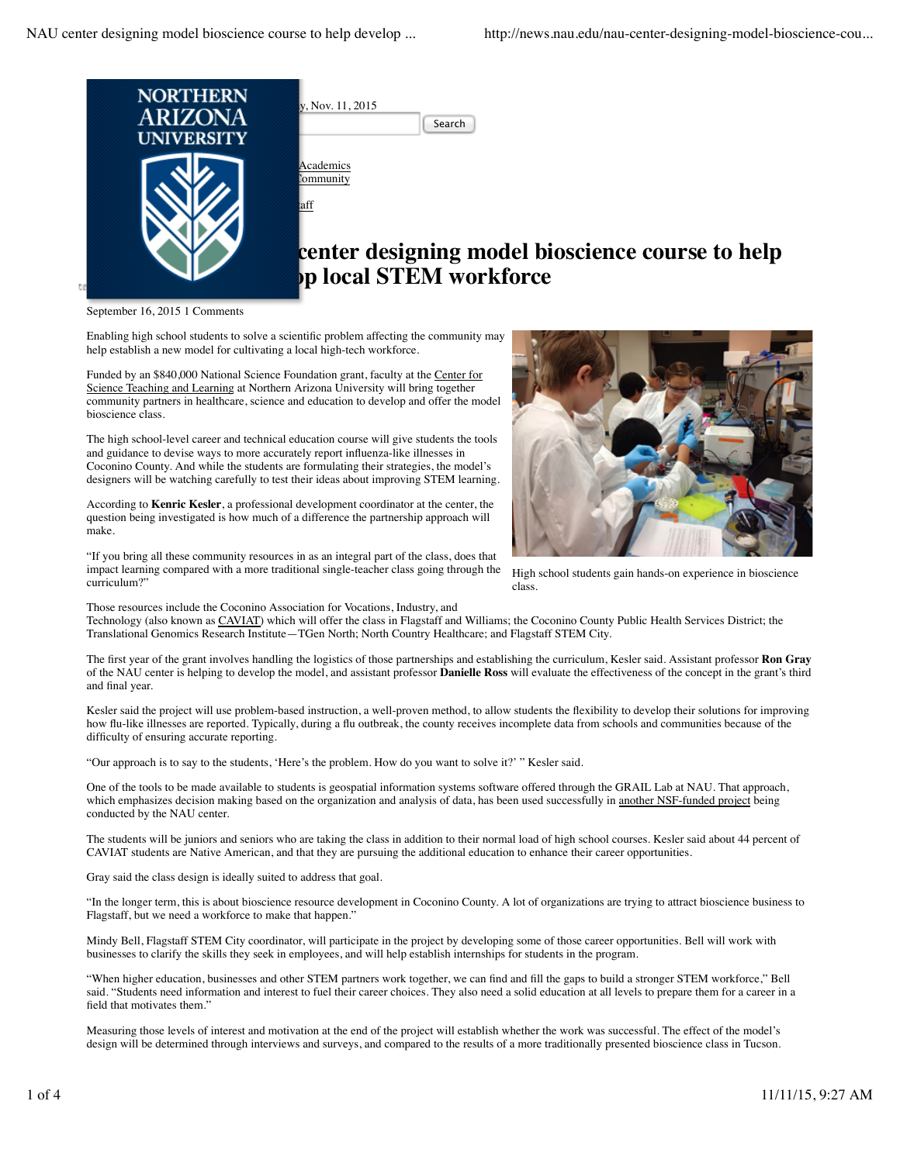

September 16, 2015 1 Comments

Enabling high school students to solve a scientific problem affecting the community may help establish a new model for cultivating a local high-tech workforce.

Funded by an \$840,000 National Science Foundation grant, faculty at the Center for Science Teaching and Learning at Northern Arizona University will bring together community partners in healthcare, science and education to develop and offer the model bioscience class.

The high school-level career and technical education course will give students the tools and guidance to devise ways to more accurately report influenza-like illnesses in Coconino County. And while the students are formulating their strategies, the model's designers will be watching carefully to test their ideas about improving STEM learning.

According to **Kenric Kesler**, a professional development coordinator at the center, the question being investigated is how much of a difference the partnership approach will make.

"If you bring all these community resources in as an integral part of the class, does that impact learning compared with a more traditional single-teacher class going through the curriculum?"



High school students gain hands-on experience in bioscience class.

Those resources include the Coconino Association for Vocations, Industry, and

Technology (also known as CAVIAT) which will offer the class in Flagstaff and Williams; the Coconino County Public Health Services District; the Translational Genomics Research Institute—TGen North; North Country Healthcare; and Flagstaff STEM City.

The first year of the grant involves handling the logistics of those partnerships and establishing the curriculum, Kesler said. Assistant professor **Ron Gray** of the NAU center is helping to develop the model, and assistant professor **Danielle Ross** will evaluate the effectiveness of the concept in the grant's third and final year.

Kesler said the project will use problem-based instruction, a well-proven method, to allow students the flexibility to develop their solutions for improving how flu-like illnesses are reported. Typically, during a flu outbreak, the county receives incomplete data from schools and communities because of the difficulty of ensuring accurate reporting.

"Our approach is to say to the students, 'Here's the problem. How do you want to solve it?' " Kesler said.

One of the tools to be made available to students is geospatial information systems software offered through the GRAIL Lab at NAU. That approach, which emphasizes decision making based on the organization and analysis of data, has been used successfully in another NSF-funded project being conducted by the NAU center.

The students will be juniors and seniors who are taking the class in addition to their normal load of high school courses. Kesler said about 44 percent of CAVIAT students are Native American, and that they are pursuing the additional education to enhance their career opportunities.

Gray said the class design is ideally suited to address that goal.

"In the longer term, this is about bioscience resource development in Coconino County. A lot of organizations are trying to attract bioscience business to Flagstaff, but we need a workforce to make that happen."

Mindy Bell, Flagstaff STEM City coordinator, will participate in the project by developing some of those career opportunities. Bell will work with businesses to clarify the skills they seek in employees, and will help establish internships for students in the program.

"When higher education, businesses and other STEM partners work together, we can find and fill the gaps to build a stronger STEM workforce," Bell said. "Students need information and interest to fuel their career choices. They also need a solid education at all levels to prepare them for a career in a field that motivates them."

Measuring those levels of interest and motivation at the end of the project will establish whether the work was successful. The effect of the model's design will be determined through interviews and surveys, and compared to the results of a more traditionally presented bioscience class in Tucson.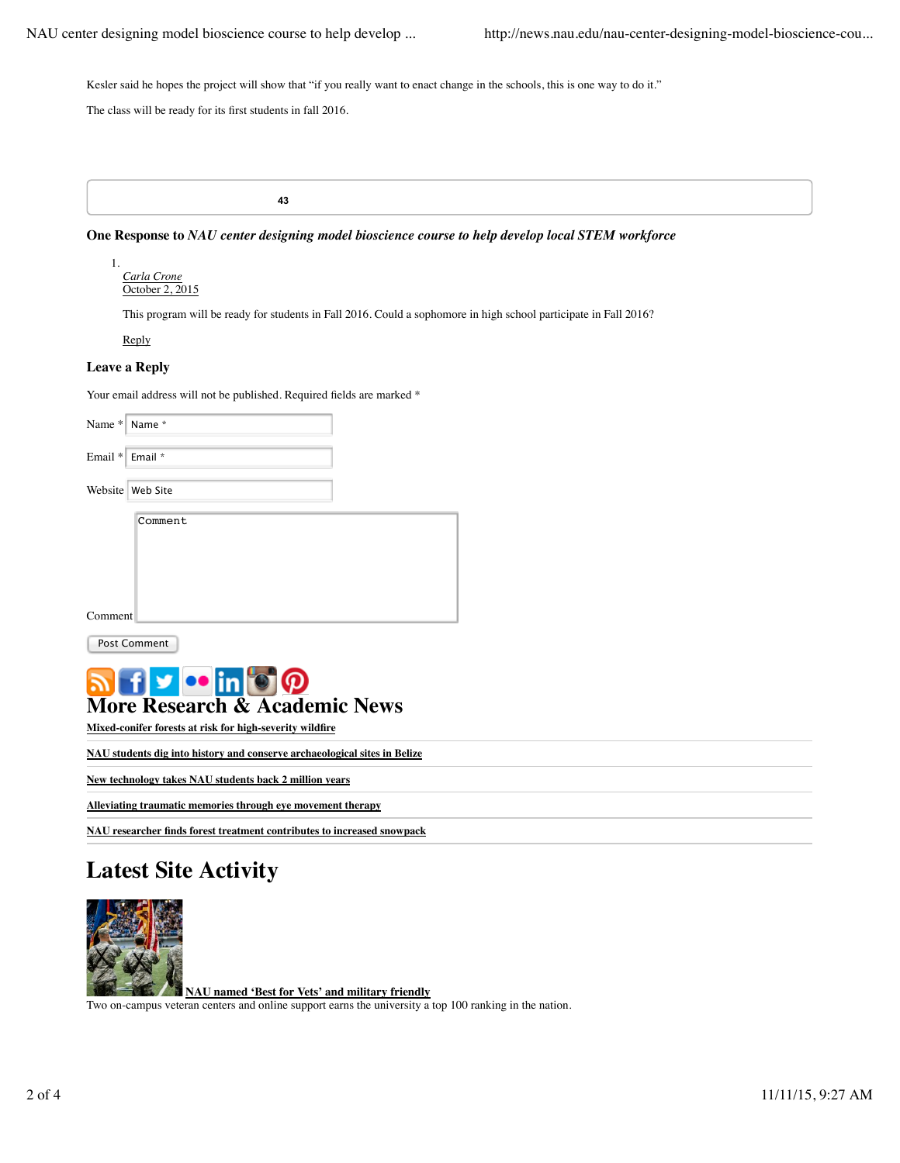Kesler said he hopes the project will show that "if you really want to enact change in the schools, this is one way to do it."

The class will be ready for its first students in fall 2016.

**43**

**One Response to** *NAU center designing model bioscience course to help develop local STEM workforce*

*Carla Crone* October 2, 2015 1.

This program will be ready for students in Fall 2016. Could a sophomore in high school participate in Fall 2016?

Reply

## **Leave a Reply**

Your email address will not be published. Required fields are marked  $*$ 

| Name *   Name *                                                                                                          |                  |
|--------------------------------------------------------------------------------------------------------------------------|------------------|
| Email $*$                                                                                                                | Email *          |
|                                                                                                                          | Website Web Site |
|                                                                                                                          | Comment          |
| Comment                                                                                                                  |                  |
| <b>Post Comment</b>                                                                                                      |                  |
| <b>a</b> freint@<br><b>More Research &amp; Academic News</b><br>Mixed-conifer forests at risk for high-severity wildfire |                  |

**NAU students dig into history and conserve archaeological sites in Belize**

**New technology takes NAU students back 2 million years**

**Alleviating traumatic memories through eye movement therapy**

**NAU researcher finds forest treatment contributes to increased snowpack**

## **Latest Site Activity**



**NAU named 'Best for Vets' and military friendly** Two on-campus veteran centers and online support earns the university a top 100 ranking in the nation.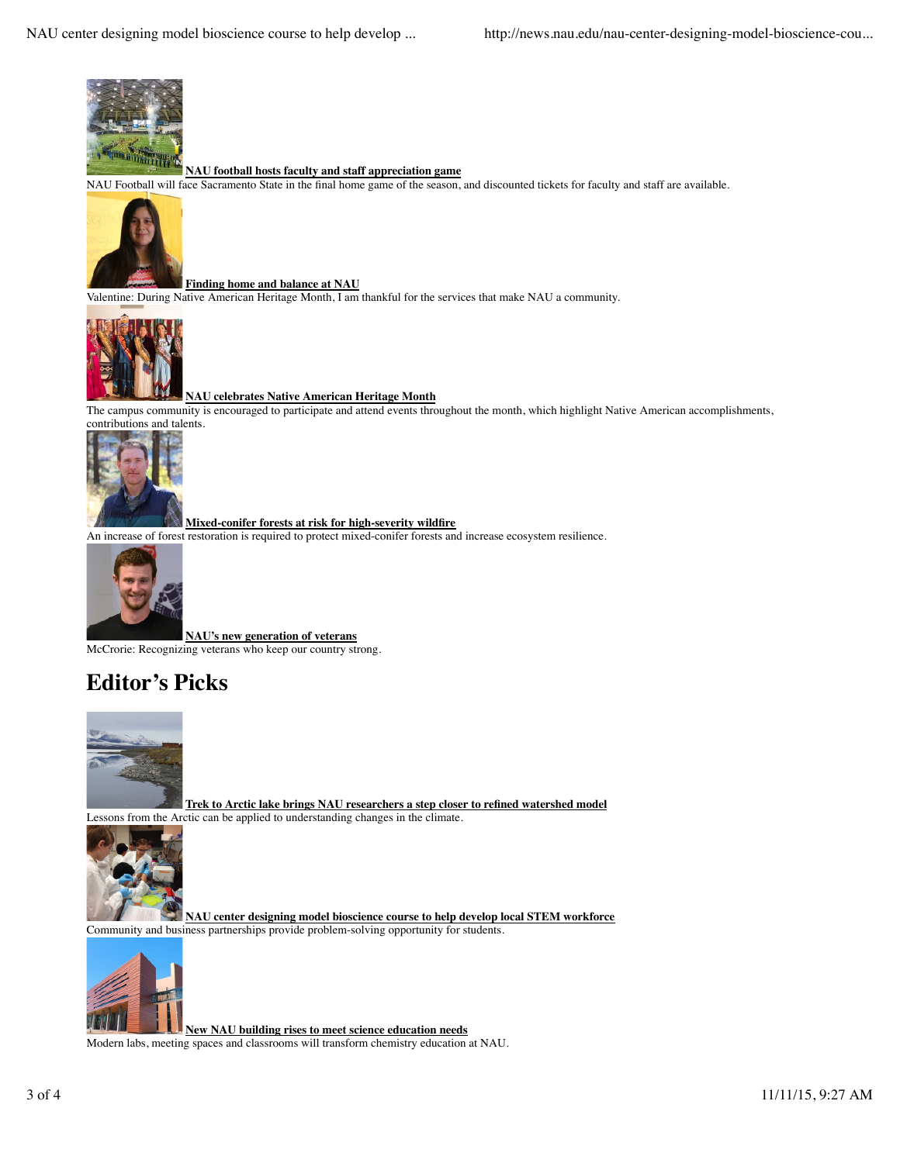

## **NAU football hosts faculty and staff appreciation game**

NAU Football will face Sacramento State in the final home game of the season, and discounted tickets for faculty and staff are available.



**Finding home and balance at NAU** Valentine: During Native American Heritage Month, I am thankful for the services that make NAU a community.



**NAU celebrates Native American Heritage Month**

The campus community is encouraged to participate and attend events throughout the month, which highlight Native American accomplishments, contributions and talents.



**Mixed-conifer forests at risk for high-severity wildfire**

An increase of forest restoration is required to protect mixed-conifer forests and increase ecosystem resilience.



**NAU's new generation of veterans** McCrorie: Recognizing veterans who keep our country strong.

## **Editor's Picks**



**Trek to Arctic lake brings NAU researchers a step closer to refined watershed model** Lessons from the Arctic can be applied to understanding changes in the climate.



**NAU center designing model bioscience course to help develop local STEM workforce** Community and business partnerships provide problem-solving opportunity for students.



**New NAU building rises to meet science education needs** Modern labs, meeting spaces and classrooms will transform chemistry education at NAU.